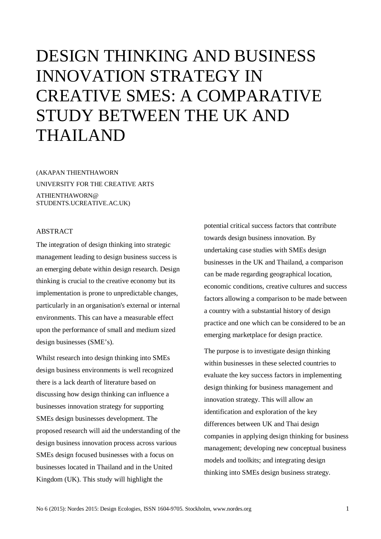# DESIGN THINKING AND BUSINESS INNOVATION STRATEGY IN CREATIVE SMES: A COMPARATIVE STUDY BETWEEN THE UK AND THAILAND

(AKAPAN THIENTHAWORN UNIVERSITY FOR THE CREATIVE ARTS ATHIENTHAWORN@ STUDENTS.UCREATIVE.AC.UK)

## ABSTRACT

The integration of design thinking into strategic management leading to design business success is an emerging debate within design research. Design thinking is crucial to the creative economy but its implementation is prone to unpredictable changes, particularly in an organisation's external or internal environments. This can have a measurable effect upon the performance of small and medium sized design businesses (SME's).

Whilst research into design thinking into SMEs design business environments is well recognized there is a lack dearth of literature based on discussing how design thinking can influence a businesses innovation strategy for supporting SMEs design businesses development. The proposed research will aid the understanding of the design business innovation process across various SMEs design focused businesses with a focus on businesses located in Thailand and in the United Kingdom (UK). This study will highlight the

potential critical success factors that contribute towards design business innovation. By undertaking case studies with SMEs design businesses in the UK and Thailand, a comparison can be made regarding geographical location, economic conditions, creative cultures and success factors allowing a comparison to be made between a country with a substantial history of design practice and one which can be considered to be an emerging marketplace for design practice.

The purpose is to investigate design thinking within businesses in these selected countries to evaluate the key success factors in implementing design thinking for business management and innovation strategy. This will allow an identification and exploration of the key differences between UK and Thai design companies in applying design thinking for business management; developing new conceptual business models and toolkits; and integrating design thinking into SMEs design business strategy.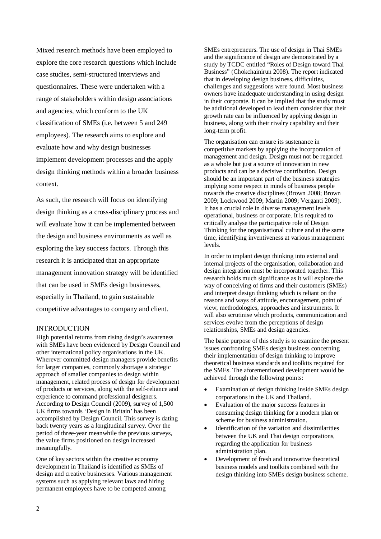Mixed research methods have been employed to explore the core research questions which include case studies, semi-structured interviews and questionnaires. These were undertaken with a range of stakeholders within design associations and agencies, which conform to the UK classification of SMEs (i.e. between 5 and 249 employees). The research aims to explore and evaluate how and why design businesses implement development processes and the apply design thinking methods within a broader business context.

As such, the research will focus on identifying design thinking as a cross-disciplinary process and will evaluate how it can be implemented between the design and business environments as well as exploring the key success factors. Through this research it is anticipated that an appropriate management innovation strategy will be identified that can be used in SMEs design businesses, especially in Thailand, to gain sustainable competitive advantages to company and client.

## **INTRODUCTION**

High potential returns from rising design's awareness with SMEs have been evidenced by Design Council and other international policy organisations in the UK. Wherever committed design managers provide benefits for larger companies, commonly shortage a strategic approach of smaller companies to design within management, related process of design for development of products or services, along with the self-reliance and experience to command professional designers. According to Design Council (2009), survey of 1,500 UK firms towards 'Design in Britain' has been accomplished by Design Council. This survey is dating back twenty years as a longitudinal survey. Over the period of three-year meanwhile the previous surveys, the value firms positioned on design increased meaningfully.

One of key sectors within the creative economy development in Thailand is identified as SMEs of design and creative businesses. Various management systems such as applying relevant laws and hiring permanent employees have to be competed among

SMEs entrepreneurs. The use of design in Thai SMEs and the significance of design are demonstrated by a study by TCDC entitled "Roles of Design toward Thai Business" (Chokchainirun 2008). The report indicated that in developing design business, difficulties, challenges and suggestions were found. Most business owners have inadequate understanding in using design in their corporate. It can be implied that the study must be additional developed to lead them consider that their growth rate can be influenced by applying design in business, along with their rivalry capability and their long-term profit.

The organisation can ensure its sustenance in competitive markets by applying the incorporation of management and design. Design must not be regarded as a whole but just a source of innovation in new products and can be a decisive contribution. Design should be an important part of the business strategies implying some respect in minds of business people towards the creative disciplines (Brown 2008; Brown 2009; Lockwood 2009; Martin 2009; Verganti 2009). It has a crucial role in diverse management levels operational, business or corporate. It is required to critically analyse the participative role of Design Thinking for the organisational culture and at the same time, identifying inventiveness at various management levels.

In order to implant design thinking into external and internal projects of the organisation, collaboration and design integration must be incorporated together. This research holds much significance as it will explore the way of conceiving of firms and their customers (SMEs) and interpret design thinking which is reliant on the reasons and ways of attitude, encouragement, point of view, methodologies, approaches and instruments. It will also scrutinise which products, communication and services evolve from the perceptions of design relationships, SMEs and design agencies.

The basic purpose of this study is to examine the present issues confronting SMEs design business concerning their implementation of design thinking to improve theoretical business standards and toolkits required for the SMEs. The aforementioned development would be achieved through the following points:

- Examination of design thinking inside SMEs design corporations in the UK and Thailand.
- Evaluation of the major success features in consuming design thinking for a modern plan or scheme for business administration.
- Identification of the variation and dissimilarities between the UK and Thai design corporations, regarding the application for business administration plan.
- Development of fresh and innovative theoretical business models and toolkits combined with the design thinking into SMEs design business scheme.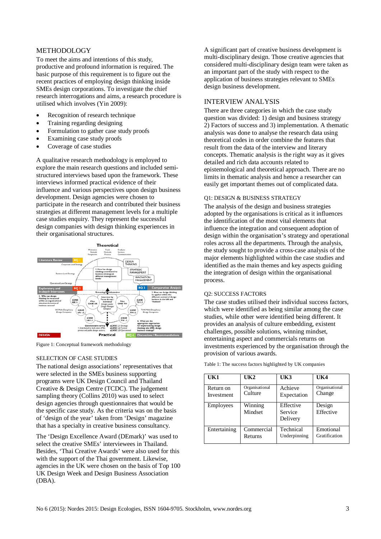# METHODOLOGY

To meet the aims and intentions of this study, productive and profound information is required. The basic purpose of this requirement is to figure out the recent practices of employing design thinking inside SMEs design corporations. To investigate the chief research interrogations and aims, a research procedure is utilised which involves (Yin 2009):

- Recognition of research technique
- Training regarding designing
- Formulation to gather case study proofs
- Examining case study proofs
- Coverage of case studies

A qualitative research methodology is employed to explore the main research questions and included semistructured interviews based upon the framework. These interviews informed practical evidence of their influence and various perspectives upon design business development. Design agencies were chosen to participate in the research and contributed their business strategies at different management levels for a multiple case studies enquiry. They represent the successful design companies with design thinking experiences in their organisational structures.



Figure 1: Conceptual framework methodology

## SELECTION OF CASE STUDIES

The national design associations' representatives that were selected in the SMEs business supporting programs were UK Design Council and Thailand Creative & Design Centre (TCDC). The judgement sampling theory (Collins 2010) was used to select design agencies through questionnaires that would be the specific case study. As the criteria was on the basis of 'design of the year' taken from 'Design' magazine that has a specialty in creative business consultancy.

The 'Design Excellence Award (DEmark)' was used to select the creative SMEs' interviewees in Thailand. Besides, 'Thai Creative Awards' were also used for this with the support of the Thai government. Likewise, agencies in the UK were chosen on the basis of Top 100 UK Design Week and Design Business Association (DBA).

A significant part of creative business development is multi-disciplinary design. Those creative agencies that considered multi-disciplinary design team were taken as an important part of the study with respect to the application of business strategies relevant to SMEs design business development.

# INTERVIEW ANALYSIS

There are three categories in which the case study question was divided: 1) design and business strategy 2) Factors of success and 3) implementation. A thematic analysis was done to analyse the research data using theoretical codes in order combine the features that result from the data of the interview and literary concepts. Thematic analysis is the right way as it gives detailed and rich data accounts related to epistemological and theoretical approach. There are no limits in thematic analysis and hence a researcher can easily get important themes out of complicated data.

#### Q1: DESIGN & BUSINESS STRATEGY

The analysis of the design and business strategies adopted by the organisations is critical as it influences the identification of the most vital elements that influence the integration and consequent adoption of design within the organisation's strategy and operational roles across all the departments. Through the analysis, the study sought to provide a cross-case analysis of the major elements highlighted within the case studies and identified as the main themes and key aspects guiding the integration of design within the organisational process.

# Q2: SUCCESS FACTORS

The case studies utilised their individual success factors, which were identified as being similar among the case studies, while other were identified being different. It provides an analysis of culture embedding, existent challenges, possible solutions, winning mindset, entertaining aspect and commercials returns on investments experienced by the organisation through the provision of various awards.

| UK1          | UK2                | UK3                              | U <sub>K4</sub>     |
|--------------|--------------------|----------------------------------|---------------------|
| Return on    | Organisational     | Achieve                          | Organisational      |
| Investment   | Culture            | Expectation                      | Change              |
| Employees    | Winning<br>Mindset | Effective<br>Service<br>Delivery | Design<br>Effective |
| Entertaining | Commercial         | Technical                        | Emotional           |
|              | Returns            | Underpinning                     | Gratification       |

Table 1: The success factors highlighted by UK companies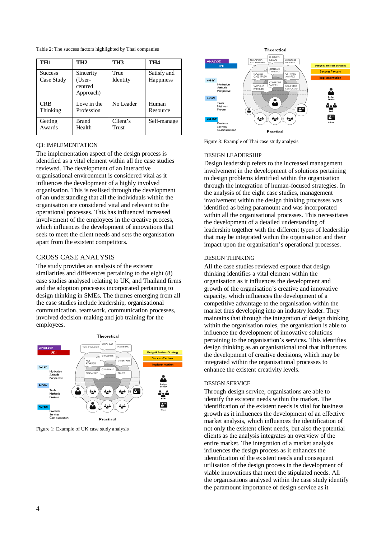Table 2: The success factors highlighted by Thai companies

| TH <sub>1</sub>              | TH <sub>2</sub>                             | TH <sub>3</sub>  | TH <sub>4</sub>          |
|------------------------------|---------------------------------------------|------------------|--------------------------|
| <b>Success</b><br>Case Study | Sincerity<br>(User-<br>centred<br>Approach) | True<br>Identity | Satisfy and<br>Happiness |
| <b>CRB</b>                   | Love in the                                 | No Leader        | Human                    |
| Thinking                     | Profession                                  |                  | Resource                 |
| Getting                      | Brand                                       | Client's         | Self-manage              |
| Awards                       | Health                                      | Trust            |                          |

## Q3: IMPLEMENTATION

The implementation aspect of the design process is identified as a vital element within all the case studies reviewed. The development of an interactive organisational environment is considered vital as it influences the development of a highly involved organisation. This is realised through the development of an understanding that all the individuals within the organisation are considered vital and relevant to the operational processes. This has influenced increased involvement of the employees in the creative process, which influences the development of innovations that seek to meet the client needs and sets the organisation apart from the existent competitors.

# CROSS CASE ANALYSIS

The study provides an analysis of the existent similarities and differences pertaining to the eight (8) case studies analysed relating to UK, and Thailand firms and the adoption processes incorporated pertaining to design thinking in SMEs. The themes emerging from all the case studies include leadership, organisational communication, teamwork, communication processes, involved decision-making and job training for the employees.



Figure 1: Example of UK case study analysis



Figure 3: Example of Thai case study analysis

#### DESIGN LEADERSHIP

Design leadership refers to the increased management involvement in the development of solutions pertaining to design problems identified within the organisation through the integration of human-focused strategies. In the analysis of the eight case studies, management involvement within the design thinking processes was identified as being paramount and was incorporated within all the organisational processes. This necessitates the development of a detailed understanding of leadership together with the different types of leadership that may be integrated within the organisation and their impact upon the organisation's operational processes.

# DESIGN THINKING

All the case studies reviewed espouse that design thinking identifies a vital element within the organisation as it influences the development and growth of the organisation's creative and innovative capacity, which influences the development of a competitive advantage to the organisation within the market thus developing into an industry leader. They maintains that through the integration of design thinking within the organisation roles, the organisation is able to influence the development of innovative solutions pertaining to the organisation's services. This identifies design thinking as an organisational tool that influences the development of creative decisions, which may be integrated within the organisational processes to enhance the existent creativity levels.

## DESIGN SERVICE

Through design service, organisations are able to identify the existent needs within the market. The identification of the existent needs is vital for business growth as it influences the development of an effective market analysis, which influences the identification of not only the existent client needs, but also the potential clients as the analysis integrates an overview of the entire market. The integration of a market analysis influences the design process as it enhances the identification of the existent needs and consequent utilisation of the design process in the development of viable innovations that meet the stipulated needs. All the organisations analysed within the case study identify the paramount importance of design service as it